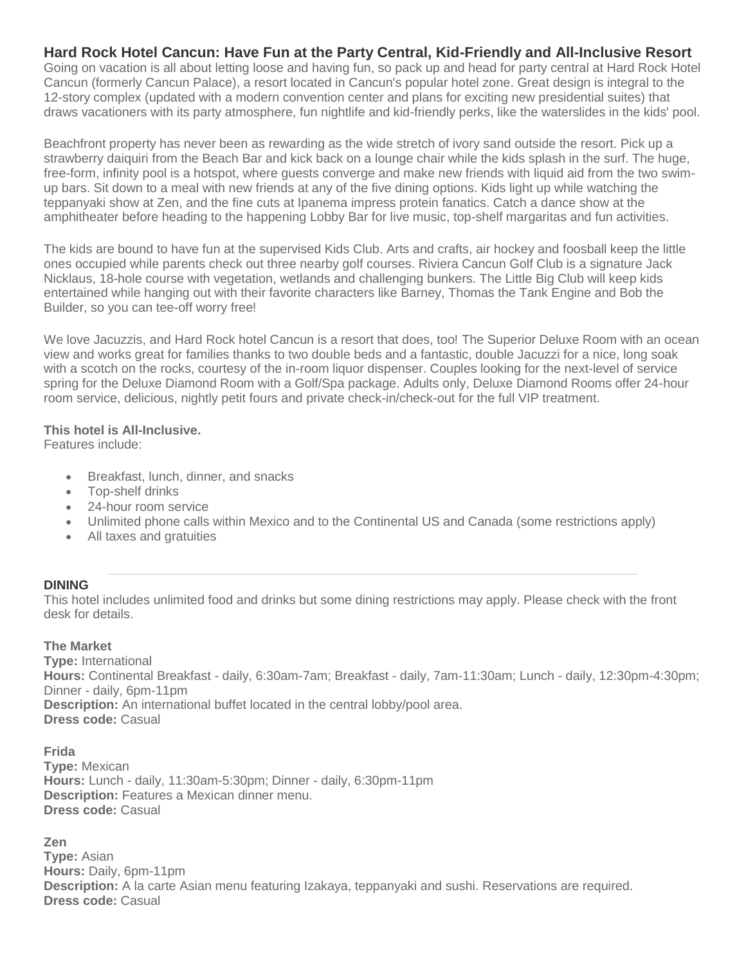# **Hard Rock Hotel Cancun: Have Fun at the Party Central, Kid-Friendly and All-Inclusive Resort**

Going on vacation is all about letting loose and having fun, so pack up and head for party central at Hard Rock Hotel Cancun (formerly Cancun Palace), a resort located in Cancun's popular hotel zone. Great design is integral to the 12-story complex (updated with a modern convention center and plans for exciting new presidential suites) that draws vacationers with its party atmosphere, fun nightlife and kid-friendly perks, like the waterslides in the kids' pool.

Beachfront property has never been as rewarding as the wide stretch of ivory sand outside the resort. Pick up a strawberry daiquiri from the Beach Bar and kick back on a lounge chair while the kids splash in the surf. The huge, free-form, infinity pool is a hotspot, where guests converge and make new friends with liquid aid from the two swimup bars. Sit down to a meal with new friends at any of the five dining options. Kids light up while watching the teppanyaki show at Zen, and the fine cuts at Ipanema impress protein fanatics. Catch a dance show at the amphitheater before heading to the happening Lobby Bar for live music, top-shelf margaritas and fun activities.

The kids are bound to have fun at the supervised Kids Club. Arts and crafts, air hockey and foosball keep the little ones occupied while parents check out three nearby golf courses. Riviera Cancun Golf Club is a signature Jack Nicklaus, 18-hole course with vegetation, wetlands and challenging bunkers. The Little Big Club will keep kids entertained while hanging out with their favorite characters like Barney, Thomas the Tank Engine and Bob the Builder, so you can tee-off worry free!

We love Jacuzzis, and Hard Rock hotel Cancun is a resort that does, too! The Superior Deluxe Room with an ocean view and works great for families thanks to two double beds and a fantastic, double Jacuzzi for a nice, long soak with a scotch on the rocks, courtesy of the in-room liquor dispenser. Couples looking for the next-level of service spring for the Deluxe Diamond Room with a Golf/Spa package. Adults only, Deluxe Diamond Rooms offer 24-hour room service, delicious, nightly petit fours and private check-in/check-out for the full VIP treatment.

### **This hotel is All-Inclusive.**

Features include:

- Breakfast, lunch, dinner, and snacks
- Top-shelf drinks
- 24-hour room service
- Unlimited phone calls within Mexico and to the Continental US and Canada (some restrictions apply)
- All taxes and gratuities

## **DINING**

This hotel includes unlimited food and drinks but some dining restrictions may apply. Please check with the front desk for details.

## **The Market**

**Type:** International **Hours:** Continental Breakfast - daily, 6:30am-7am; Breakfast - daily, 7am-11:30am; Lunch - daily, 12:30pm-4:30pm; Dinner - daily, 6pm-11pm **Description:** An international buffet located in the central lobby/pool area. **Dress code:** Casual

**Frida Type:** Mexican **Hours:** Lunch - daily, 11:30am-5:30pm; Dinner - daily, 6:30pm-11pm **Description:** Features a Mexican dinner menu. **Dress code:** Casual

**Zen Type:** Asian **Hours:** Daily, 6pm-11pm **Description:** A la carte Asian menu featuring Izakaya, teppanyaki and sushi. Reservations are required. **Dress code:** Casual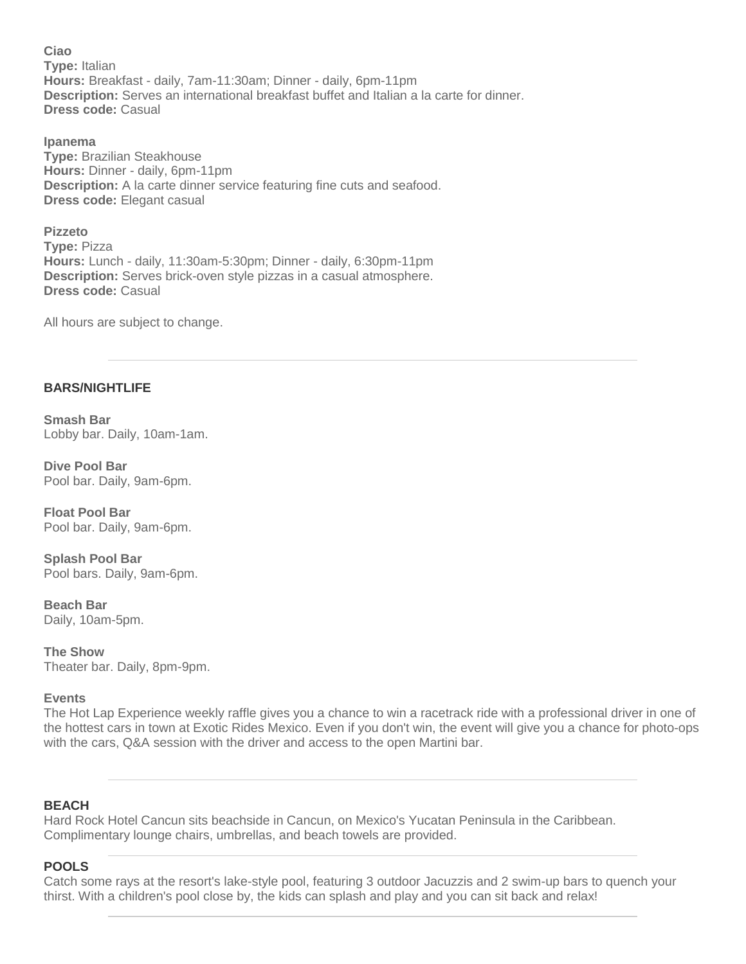**Ciao Type:** Italian **Hours:** Breakfast - daily, 7am-11:30am; Dinner - daily, 6pm-11pm **Description:** Serves an international breakfast buffet and Italian a la carte for dinner. **Dress code:** Casual

**Ipanema Type:** Brazilian Steakhouse **Hours:** Dinner - daily, 6pm-11pm **Description:** A la carte dinner service featuring fine cuts and seafood. **Dress code:** Elegant casual

**Pizzeto Type:** Pizza **Hours:** Lunch - daily, 11:30am-5:30pm; Dinner - daily, 6:30pm-11pm **Description:** Serves brick-oven style pizzas in a casual atmosphere. **Dress code:** Casual

All hours are subject to change.

### **BARS/NIGHTLIFE**

**Smash Bar** Lobby bar. Daily, 10am-1am.

**Dive Pool Bar** Pool bar. Daily, 9am-6pm.

**Float Pool Bar** Pool bar. Daily, 9am-6pm.

**Splash Pool Bar** Pool bars. Daily, 9am-6pm.

**Beach Bar** Daily, 10am-5pm.

**The Show** Theater bar. Daily, 8pm-9pm.

#### **Events**

The Hot Lap Experience weekly raffle gives you a chance to win a racetrack ride with a professional driver in one of the hottest cars in town at Exotic Rides Mexico. Even if you don't win, the event will give you a chance for photo-ops with the cars, Q&A session with the driver and access to the open Martini bar.

### **BEACH**

Hard Rock Hotel Cancun sits beachside in Cancun, on Mexico's Yucatan Peninsula in the Caribbean. Complimentary lounge chairs, umbrellas, and beach towels are provided.

### **POOLS**

Catch some rays at the resort's lake-style pool, featuring 3 outdoor Jacuzzis and 2 swim-up bars to quench your thirst. With a children's pool close by, the kids can splash and play and you can sit back and relax!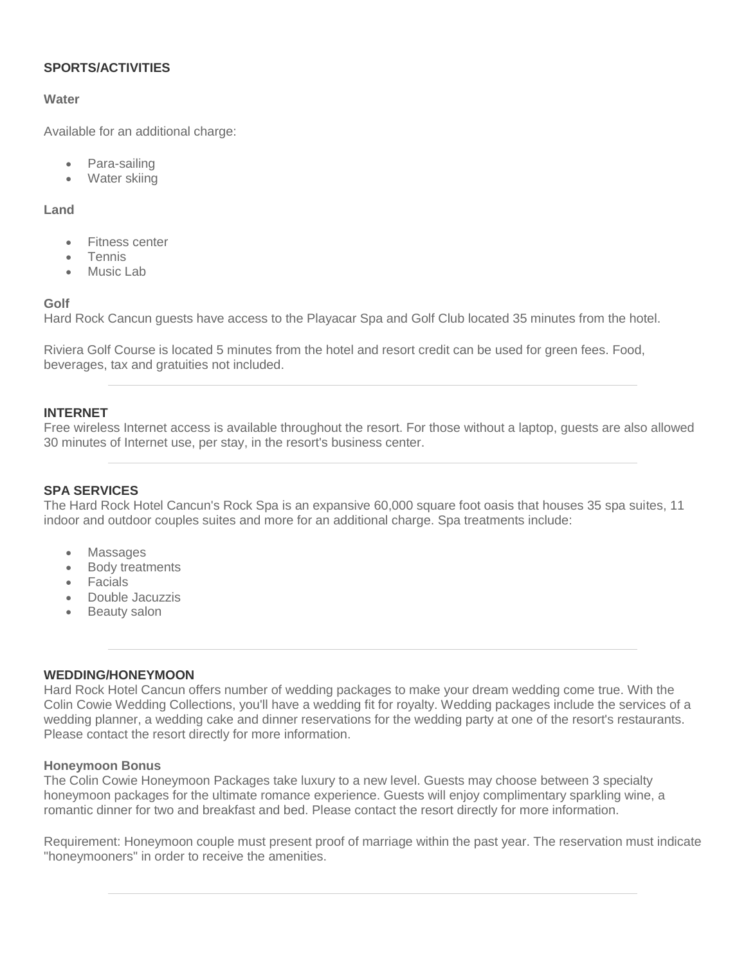### **SPORTS/ACTIVITIES**

#### **Water**

Available for an additional charge:

- Para-sailing
- Water skiing

#### **Land**

- Fitness center
- Tennis
- Music Lab

### **Golf**

Hard Rock Cancun guests have access to the Playacar Spa and Golf Club located 35 minutes from the hotel.

Riviera Golf Course is located 5 minutes from the hotel and resort credit can be used for green fees. Food, beverages, tax and gratuities not included.

### **INTERNET**

Free wireless Internet access is available throughout the resort. For those without a laptop, guests are also allowed 30 minutes of Internet use, per stay, in the resort's business center.

### **SPA SERVICES**

The Hard Rock Hotel Cancun's Rock Spa is an expansive 60,000 square foot oasis that houses 35 spa suites, 11 indoor and outdoor couples suites and more for an additional charge. Spa treatments include:

- Massages
- Body treatments
- Facials
- Double Jacuzzis
- Beauty salon

#### **WEDDING/HONEYMOON**

Hard Rock Hotel Cancun offers number of wedding packages to make your dream wedding come true. With the Colin Cowie Wedding Collections, you'll have a wedding fit for royalty. Wedding packages include the services of a wedding planner, a wedding cake and dinner reservations for the wedding party at one of the resort's restaurants. Please contact the resort directly for more information.

### **Honeymoon Bonus**

The Colin Cowie Honeymoon Packages take luxury to a new level. Guests may choose between 3 specialty honeymoon packages for the ultimate romance experience. Guests will enjoy complimentary sparkling wine, a romantic dinner for two and breakfast and bed. Please contact the resort directly for more information.

Requirement: Honeymoon couple must present proof of marriage within the past year. The reservation must indicate "honeymooners" in order to receive the amenities.